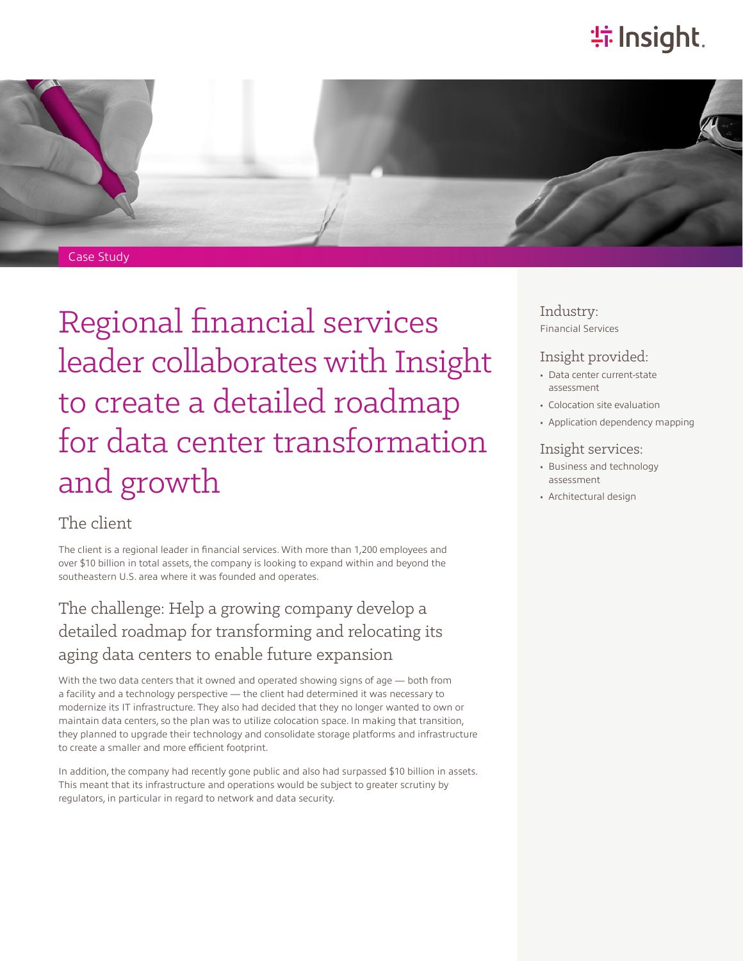# **特Insight**.



# Regional financial services leader collaborates with Insight to create a detailed roadmap for data center transformation and growth

#### The client

The client is a regional leader in financial services. With more than 1,200 employees and over \$10 billion in total assets, the company is looking to expand within and beyond the southeastern U.S. area where it was founded and operates.

## The challenge: Help a growing company develop a detailed roadmap for transforming and relocating its aging data centers to enable future expansion

With the two data centers that it owned and operated showing signs of age — both from a facility and a technology perspective — the client had determined it was necessary to modernize its IT infrastructure. They also had decided that they no longer wanted to own or maintain data centers, so the plan was to utilize colocation space. In making that transition, they planned to upgrade their technology and consolidate storage platforms and infrastructure to create a smaller and more efficient footprint.

In addition, the company had recently gone public and also had surpassed \$10 billion in assets. This meant that its infrastructure and operations would be subject to greater scrutiny by regulators, in particular in regard to network and data security.

#### Industry: Financial Services

#### Insight provided:

- Data center current-state assessment
- Colocation site evaluation
- Application dependency mapping

#### Insight services:

- Business and technology assessment
- Architectural design